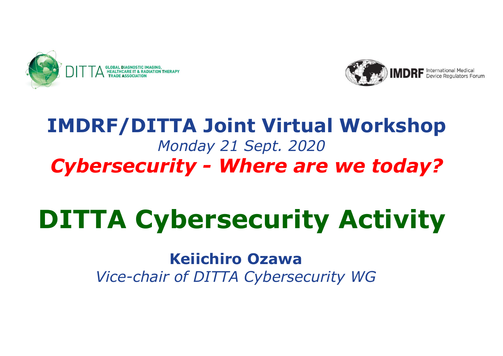



# IMDRF/DITTA Joint Virtual Workshop Monday 21 Sept. 2020 **Cyclumper Cyclumper Cyclumper Cyclumper Cyclumper Cybersecurity - Where are we today?**

# DITTA Cybersecurity Activity

Keiichiro Ozawa Vice-chair of DITTA Cybersecurity WG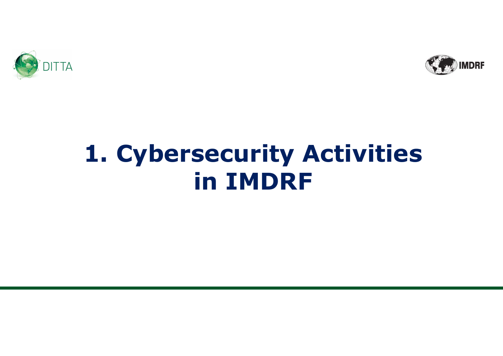



# 1. Cybersecurity Activities in IMDRF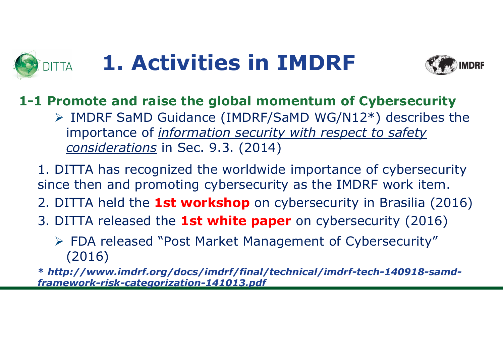# 1. Activities in IMDRF



### 1-1 Promote and raise the global momentum of Cybersecurity

- TTA **1. Activities in IMDRF**<br>
Promote and raise the global momentum of Cybersecurity<br>
> IMDRF SaMD Guidance (IMDRF/SaMD WG/N12\*) describes the<br>
importance of <u>information security with respect to safety</u><br>
<u>considerations</u> importance of *information security with respect to safety* considerations in Sec. 9.3. (2014)
- 1. DITTA has recognized the worldwide importance of cybersecurity since then and promoting cybersecurity as the IMDRF work item.
- 2. DITTA held the **1st workshop** on cybersecurity in Brasilia (2016)
- 3. DITTA released the **1st white paper** on cybersecurity (2016)
	- FDA released "Post Market Management of Cybersecurity" (2016)

\* http://www.imdrf.org/docs/imdrf/final/technical/imdrf-tech-140918-samdframework-risk-categorization-141013.pdf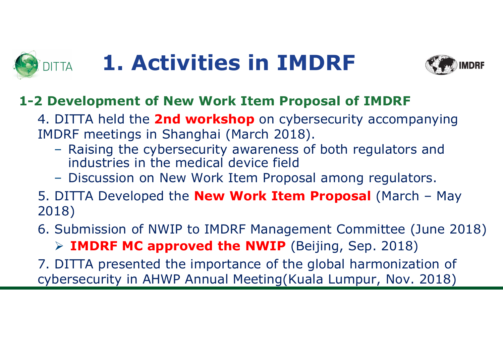# 1. Activities in IMDRF



### 1-2 Development of New Work Item Proposal of IMDRF

4. DITTA held the **2nd workshop** on cybersecurity accompanying INTTA **1. Activities in IMDRF**<br>2 Development of New Work Item Proposal of IMDRF<br>4. DITTA held the **2nd workshop** on cybersecurity accompanying<br>IMDRF meetings in Shanghai (March 2018).<br>- Raising the cybersecurity awareness

- industries in the medical device field
- Discussion on New Work Item Proposal among regulators.
- **1. Activities in IMDRF**<br>
2 Development of New Work Item Proposal of IMDRF<br>
4. DITTA held the **2nd workshop** on cybersecurity accompanying<br>
IMDRF meetings in Shanghai (March 2018).<br>
 Raising the cybersecurity awareness of 2018)
- 6. Submission of NWIP to IMDRF Management Committee (June 2018)

 $\triangleright$  IMDRF MC approved the NWIP (Beijing, Sep. 2018)

7. DITTA presented the importance of the global harmonization of cybersecurity in AHWP Annual Meeting(Kuala Lumpur, Nov. 2018)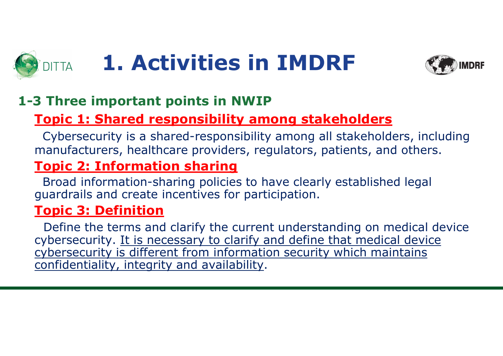# 1. Activities in IMDRF



### 1-3 Three important points in NWIP

### Topic 1: Shared responsibility among stakeholders

Cybersecurity is a shared-responsibility among all stakeholders, including manufacturers, healthcare providers, regulators, patients, and others.

### Topic 2: Information sharing

Broad information-sharing policies to have clearly established legal guardrails and create incentives for participation.

### Topic 3: Definition

Define the terms and clarify the current understanding on medical device cybersecurity. It is necessary to clarify and define that medical device cybersecurity is different from information security which maintains confidentiality, integrity and availability.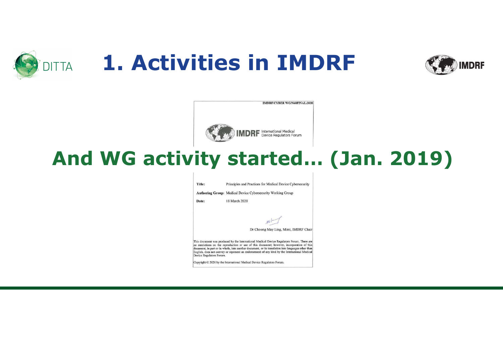





### And WG activity started… (Jan. 2019)

Title: Principles and Practices for Medical Device Cybersecurity Authoring Group: Medical Device Cybersecurity Working Group Date: 18 March 2020 Dr Choong May Ling, Mimi, IMDRF Chair This document was produced by the International Medical Device Regulators Forum. There are no restrictions on the reproduction or use of this document; however, incorporation of this document, in part or in whole, into another document, or its translation into languages other than English, does not convey or represent an endorsement of any kind by the International Medical Device Regulators Forum. Copyright © 2020 by the International Medical Device Regulators Forum.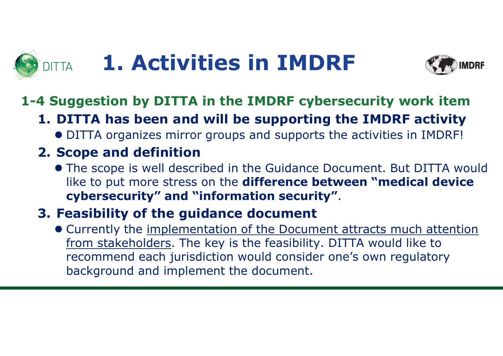# 1. Activities in IMDRF DITTA **1. Activities in IMDRF**<br>4 Suggestion by DITTA in the IMDRF cybersecurity work item<br>1. DITTA has been and will be supporting the IMDRF activity<br>• DITTA organizes mirror groups and supports the activities in IMDRF!<br>2. **1. Activities in IMDI**<br>**4 Suggestion by DITTA in the IMDRF cybe**<br>**1. DITTA has been and will be supporting**<br>• DITTA organizes mirror groups and supports to<br>**2. Scope and definition**<br>• The scope is well described in the Gu



### 1-4 Suggestion by DITTA in the IMDRF cybersecurity work item

DITTA organizes mirror groups and supports the activities in IMDRF!

 The scope is well described in the Guidance Document. But DITTA would like to put more stress on the difference between "medical device **1. Activities in IMDRF**<br> **4 Suggestion by DITTA in the IMDRF cybersecurity w**<br> **1. DITTA has been and will be supporting the IMDRF**<br>
• DITTA organizes mirror groups and supports the activities i<br> **2. Scope and definition** 

 Currently the implementation of the Document attracts much attention from stakeholders. The key is the feasibility. DITTA would like to recommend each jurisdiction would consider one's own regulatory background and implement the document.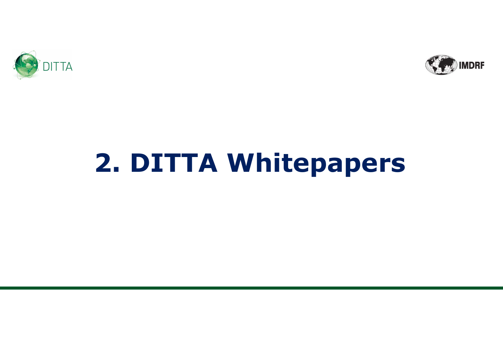

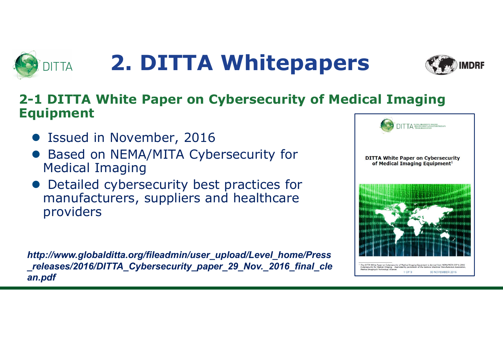



### 2-1 DITTA White Paper on Cybersecurity of Medical Imaging Equipment

- Issued in November, 2016
- Based on NEMA/MITA Cybersecurity for The party on Cybersecurity Medical Imaging
- Detailed cybersecurity best practices for manufacturers, suppliers and healthcare providers

http://www.globalditta.org/fileadmin/user\_upload/Level\_home/Press \_releases/2016/DITTA\_Cybersecurity\_paper\_29\_Nov.\_2016\_final\_cle an.pdf

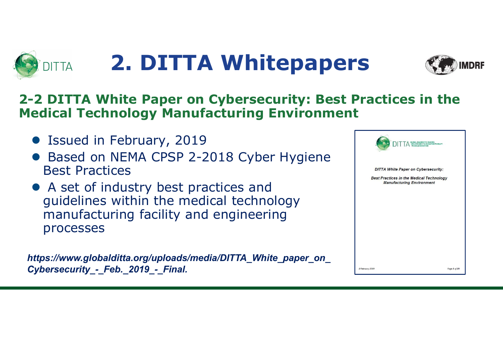



### 2-2 DITTA White Paper on Cybersecurity: Best Practices in the Medical Technology Manufacturing Environment

- Issued in February, 2019
- Based on NEMA CPSP 2-2018 Cyber Hygiene Best Practices
- A set of industry best practices and guidelines within the medical technology manufacturing facility and engineering processes

https://www.globalditta.org/uploads/media/DITTA\_White\_paper\_on Cybersecurity - Feb. 2019 - Final.

| <b>DITTA White Paper on Cybersecurity:</b>      |                                  |  |
|-------------------------------------------------|----------------------------------|--|
| <b>Best Practices in the Medical Technology</b> | <b>Manufacturing Environment</b> |  |
|                                                 |                                  |  |
|                                                 |                                  |  |
|                                                 |                                  |  |
|                                                 |                                  |  |
|                                                 |                                  |  |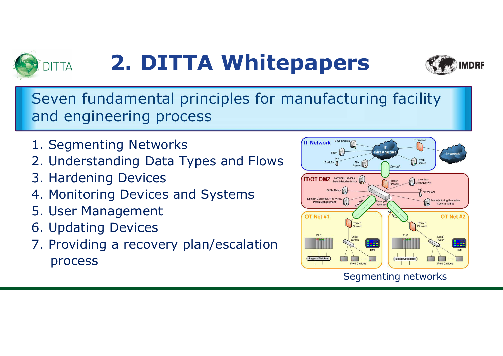



Seven fundamental principles for manufacturing facility and engineering process

- 1. Segmenting Networks
- 2. Understanding Data Types and Flows International Control Control Control Control Control Control Control Control Control Control Control Control Control Control Control Control Control Control Control Control Control Co
- 3. Hardening Devices
- 4. Monitoring Devices and Systems
- 5. User Management
- 6. Updating Devices
- 7. Providing a recovery plan/escalation process



### Segmenting networks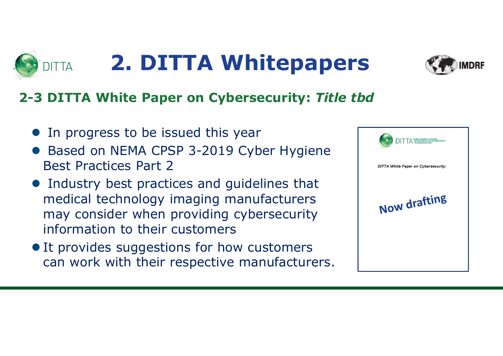

### 2-3 DITTA White Paper on Cybersecurity: Title tbd

- In progress to be issued this year
- Based on NEMA CPSP 3-2019 Cyber Hygiene Best Practices Part 2
- Industry best practices and guidelines that<br>medical technology imaging manufacturers<br>may cancidently medical technology imaging manufacturers may consider when providing cybersecurity information to their customers
- $\bullet$  It provides suggestions for how customers can work with their respective manufacturers.

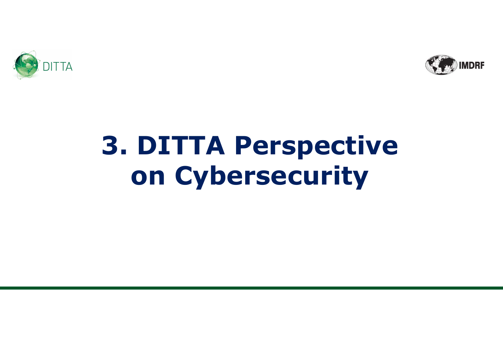



# 3. DITTA Perspective on Cybersecurity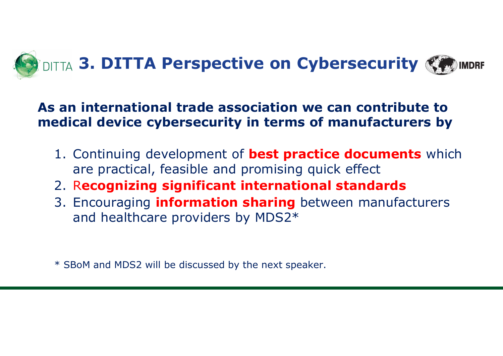

### As an international trade association we can contribute to medical device cybersecurity in terms of manufacturers by

- are practical, feasible and promising quick effect
- 2. Recognizing significant international standards
- and healthcare providers by MDS2\* an International trade association we<br>edical device cybersecurity in terms of<br>1. Continuing development of **best practic**<br>are practical, feasible and promising qui<br>2. Recognizing significant internationa<br>3. Encouraging inf